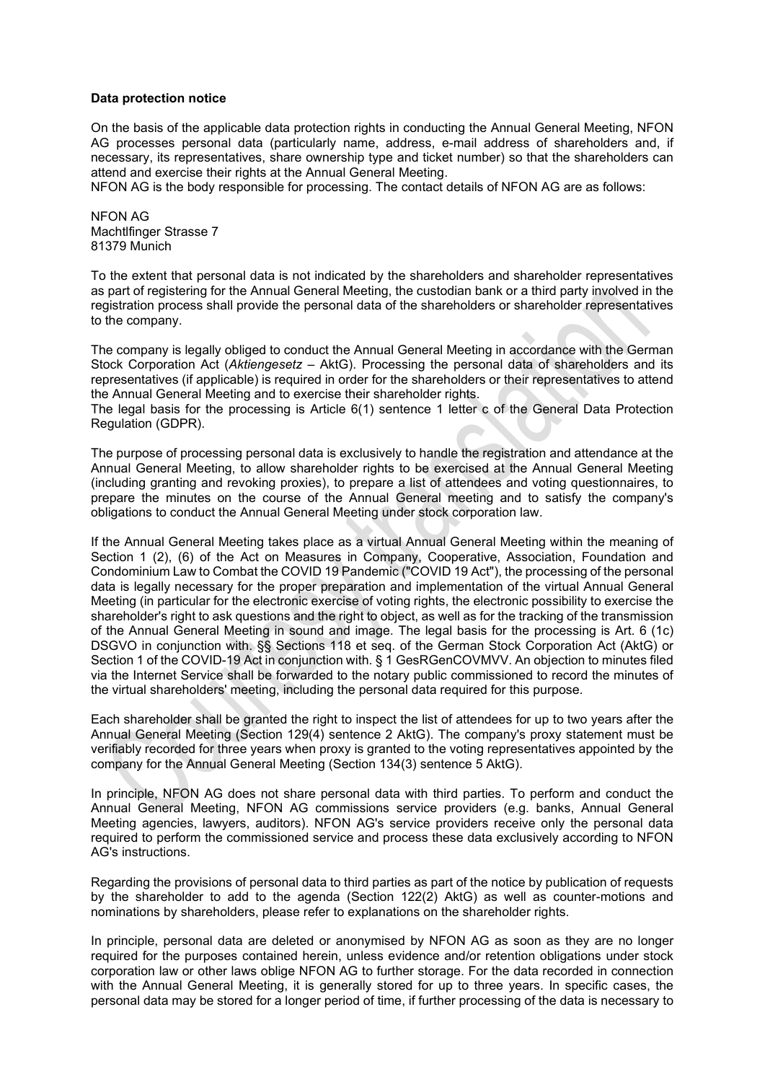## **Data protection notice**

On the basis of the applicable data protection rights in conducting the Annual General Meeting, NFON AG processes personal data (particularly name, address, e-mail address of shareholders and, if necessary, its representatives, share ownership type and ticket number) so that the shareholders can attend and exercise their rights at the Annual General Meeting.

NFON AG is the body responsible for processing. The contact details of NFON AG are as follows:

NFON AG Machtlfinger Strasse 7 81379 Munich

To the extent that personal data is not indicated by the shareholders and shareholder representatives as part of registering for the Annual General Meeting, the custodian bank or a third party involved in the registration process shall provide the personal data of the shareholders or shareholder representatives to the company.

The company is legally obliged to conduct the Annual General Meeting in accordance with the German Stock Corporation Act (*Aktiengesetz* – AktG). Processing the personal data of shareholders and its representatives (if applicable) is required in order for the shareholders or their representatives to attend the Annual General Meeting and to exercise their shareholder rights.

The legal basis for the processing is Article 6(1) sentence 1 letter c of the General Data Protection Regulation (GDPR).

The purpose of processing personal data is exclusively to handle the registration and attendance at the Annual General Meeting, to allow shareholder rights to be exercised at the Annual General Meeting (including granting and revoking proxies), to prepare a list of attendees and voting questionnaires, to prepare the minutes on the course of the Annual General meeting and to satisfy the company's obligations to conduct the Annual General Meeting under stock corporation law.

If the Annual General Meeting takes place as a virtual Annual General Meeting within the meaning of Section 1 (2), (6) of the Act on Measures in Company, Cooperative, Association, Foundation and Condominium Law to Combat the COVID 19 Pandemic ("COVID 19 Act"), the processing of the personal data is legally necessary for the proper preparation and implementation of the virtual Annual General Meeting (in particular for the electronic exercise of voting rights, the electronic possibility to exercise the shareholder's right to ask questions and the right to object, as well as for the tracking of the transmission of the Annual General Meeting in sound and image. The legal basis for the processing is Art. 6 (1c) DSGVO in conjunction with. §§ Sections 118 et seq. of the German Stock Corporation Act (AktG) or Section 1 of the COVID-19 Act in conjunction with. § 1 GesRGenCOVMVV. An objection to minutes filed via the Internet Service shall be forwarded to the notary public commissioned to record the minutes of the virtual shareholders' meeting, including the personal data required for this purpose.

Each shareholder shall be granted the right to inspect the list of attendees for up to two years after the Annual General Meeting (Section 129(4) sentence 2 AktG). The company's proxy statement must be verifiably recorded for three years when proxy is granted to the voting representatives appointed by the company for the Annual General Meeting (Section 134(3) sentence 5 AktG).

In principle, NFON AG does not share personal data with third parties. To perform and conduct the Annual General Meeting, NFON AG commissions service providers (e.g. banks, Annual General Meeting agencies, lawyers, auditors). NFON AG's service providers receive only the personal data required to perform the commissioned service and process these data exclusively according to NFON AG's instructions.

Regarding the provisions of personal data to third parties as part of the notice by publication of requests by the shareholder to add to the agenda (Section 122(2) AktG) as well as counter-motions and nominations by shareholders, please refer to explanations on the shareholder rights.

In principle, personal data are deleted or anonymised by NFON AG as soon as they are no longer required for the purposes contained herein, unless evidence and/or retention obligations under stock corporation law or other laws oblige NFON AG to further storage. For the data recorded in connection with the Annual General Meeting, it is generally stored for up to three years. In specific cases, the personal data may be stored for a longer period of time, if further processing of the data is necessary to